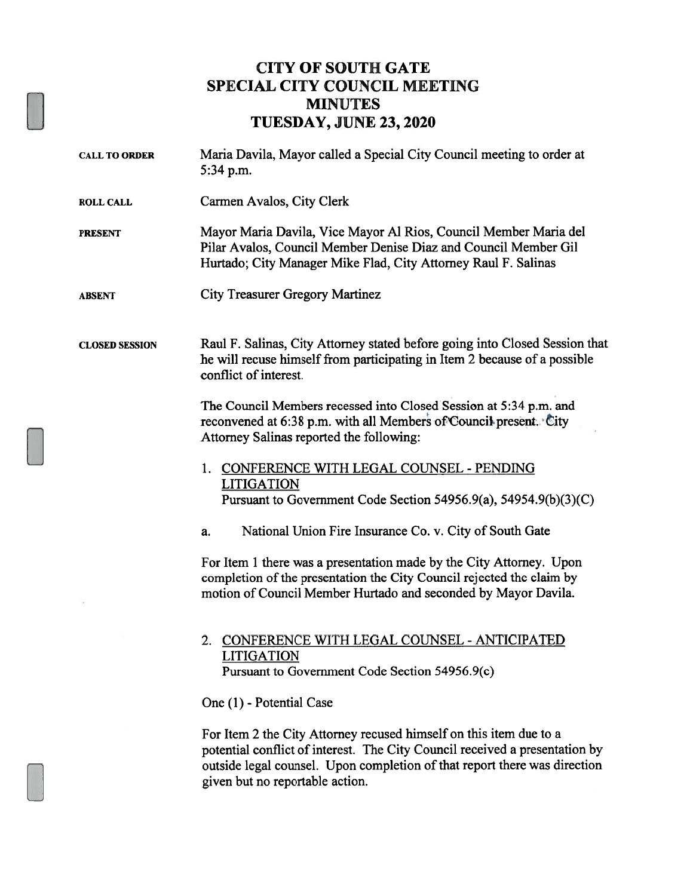## CITY OF SOUTH GATE SPECIAL CITY COUNCIL MEETING MINUTES TUESDAY, JUNE 23, 2020

CALL TO ORDER Maria Davila, Mayor called a Special City Council meeting to order at 5:34 p.m. ROLL CALL Carmen Avalos, City Clerk PRESENT Mayor Maria Davila, Vice Mayor Al Rios, Council Member Maria del Pilar Avalos, Council Member Denise Diaz and Council Member Gil Hurtado; City Manager Mike Flad, City Attorney Raul F. Salinas ABSENT City Treasurer Gregory Martinez CLOSED SESSION Raul F. Salinas, City Attorney stated before going into Closed Session that he will recuse himself from participating in Item 2 because of a possible conflict of interest. The Council Members recessed into Closed Session at 5:34 p.m. and reconvened at 6:38 p.m. with all Members of Council present. City Attorney Salinas reported the following: 1. CONFERENCE WITH LEGAL COUNSEL -PENDING LITIGATION Pursuant to Government Code Section 54956.9(a), 54954.9(b)(3)(C) a. National Union Fire Insurance Co. v. City of South Gate For Item <sup>1</sup> there was a presentation made by the City Attorney. Upon completion of the presentation the City Council rejected the claim by motion of Council Member Hurtado and seconded by Mayor Davila. 2. CONFERENCE WITH LEGAL COUNSEL -ANTICIPATED LITIGATION Pursuant to Government Code Section 54956.9(c) One (1) - Potential Case For Item 2 the City Attorney recused himself on this item due to a potential conflict of interest. The City Council received a presentation by outside legal counsel. Upon completion of that report there was direction given but no reportable action.